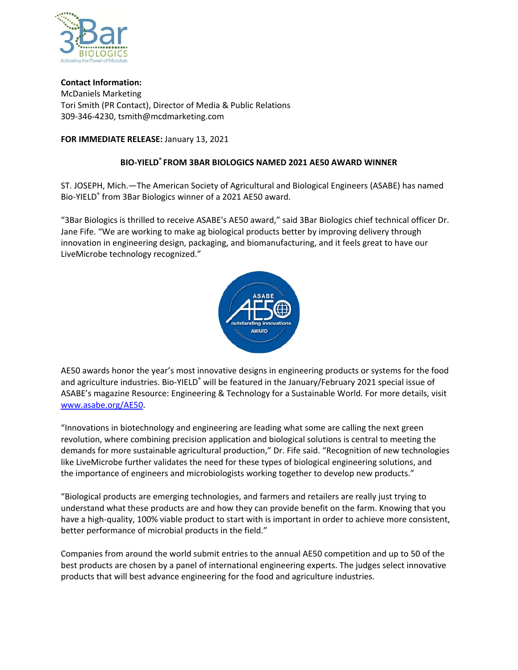

**Contact Information:** McDaniels Marketing Tori Smith (PR Contact), Director of Media & Public Relations 309‐346‐4230, tsmith@mcdmarketing.com

## **FOR IMMEDIATE RELEASE:** January 13, 2021

## **BIO‐YIELD® FROM 3BAR BIOLOGICS NAMED 2021 AE50 AWARD WINNER**

ST. JOSEPH, Mich.—The American Society of Agricultural and Biological Engineers (ASABE) has named Bio‐YIELD® from 3Bar Biologics winner of a 2021 AE50 award.

"3Bar Biologics is thrilled to receive ASABE's AE50 award," said 3Bar Biologics chief technical officer Dr. Jane Fife. "We are working to make ag biological products better by improving delivery through innovation in engineering design, packaging, and biomanufacturing, and it feels great to have our LiveMicrobe technology recognized."



AE50 awards honor the year's most innovative designs in engineering products or systems for the food and agriculture industries. Bio-YIELD<sup>®</sup> will be featured in the January/February 2021 special issue of ASABE's magazine Resource: Engineering & Technology for a Sustainable World*.* For more details, visit www.asabe.org/AE50.

"Innovations in biotechnology and engineering are leading what some are calling the next green revolution, where combining precision application and biological solutions is central to meeting the demands for more sustainable agricultural production," Dr. Fife said. "Recognition of new technologies like LiveMicrobe further validates the need for these types of biological engineering solutions, and the importance of engineers and microbiologists working together to develop new products."

"Biological products are emerging technologies, and farmers and retailers are really just trying to understand what these products are and how they can provide benefit on the farm. Knowing that you have a high-quality, 100% viable product to start with is important in order to achieve more consistent, better performance of microbial products in the field."

Companies from around the world submit entries to the annual AE50 competition and up to 50 of the best products are chosen by a panel of international engineering experts. The judges select innovative products that will best advance engineering for the food and agriculture industries.